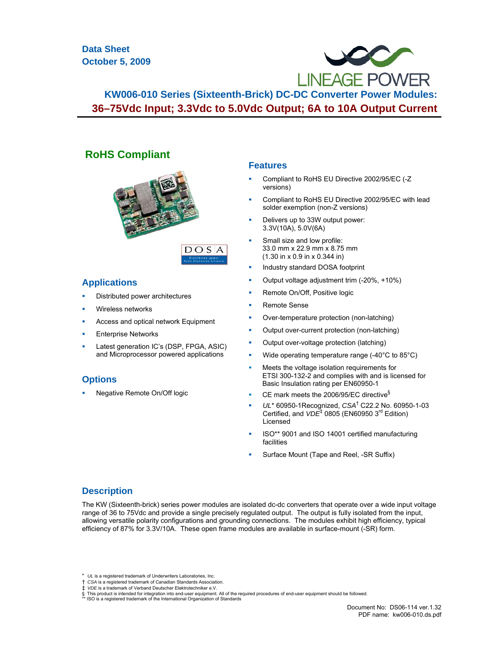**Data Sheet October 5, 2009**



**KW006-010 Series (Sixteenth-Brick) DC-DC Converter Power Modules: 36–75Vdc Input; 3.3Vdc to 5.0Vdc Output; 6A to 10A Output Current**

# **RoHS Compliant**



## **Applications**

- Distributed power architectures
- Wireless networks
- Access and optical network Equipment
- Enterprise Networks
- Latest generation IC's (DSP, FPGA, ASIC) and Microprocessor powered applications

# **Options**

Negative Remote On/Off logic

### **Features**

- Compliant to RoHS EU Directive 2002/95/EC (-Z versions)
- Compliant to RoHS EU Directive 2002/95/EC with lead solder exemption (non-Z versions)
- Delivers up to 33W output power: 3.3V(10A), 5.0V(6A)
- Small size and low profile: 33.0 mm x 22.9 mm x 8.75 mm (1.30 in x 0.9 in x 0.344 in)
- Industry standard DOSA footprint
- Output voltage adjustment trim (-20%, +10%)
- Remote On/Off, Positive logic
- Remote Sense
- Over-temperature protection (non-latching)
- Output over-current protection (non-latching)
- Output over-voltage protection (latching)
- Wide operating temperature range (-40°C to 85°C)
- Meets the voltage isolation requirements for ETSI 300-132-2 and complies with and is licensed for Basic Insulation rating per EN60950-1
- CE mark meets the 2006/95/EC directive<sup>§</sup>
- UL\* 60950-1Recognized, CSA<sup>†</sup> C22.2 No. 60950-1-03 Certified, and  $VDE^{\ddagger}$  0805 (EN60950 3<sup>rd</sup> Edition) Licensed
- ISO\*\* 9001 and ISO 14001 certified manufacturing facilities
- Surface Mount (Tape and Reel, -SR Suffix)

# **Description**

The KW (Sixteenth-brick) series power modules are isolated dc-dc converters that operate over a wide input voltage range of 36 to 75Vdc and provide a single precisely regulated output. The output is fully isolated from the input, allowing versatile polarity configurations and grounding connections. The modules exhibit high efficiency, typical efficiency of 87% for 3.3V/10A. These open frame modules are available in surface-mount (-SR) form.

<sup>\*</sup> *UL* is a registered trademark of Underwriters Laboratories, Inc.

<sup>†</sup> *CSA* is a registered trademark of Canadian Standards Association.

<sup>‡</sup> *VDE* is a trademark of Verband Deutscher Elektrotechniker e.V.

<sup>§</sup> This product is intended for integration into end-user equipment. All of the required procedures of end-user equipment should be followed.<br>\*\* ISO is a registered trademark of the International Organization of Standards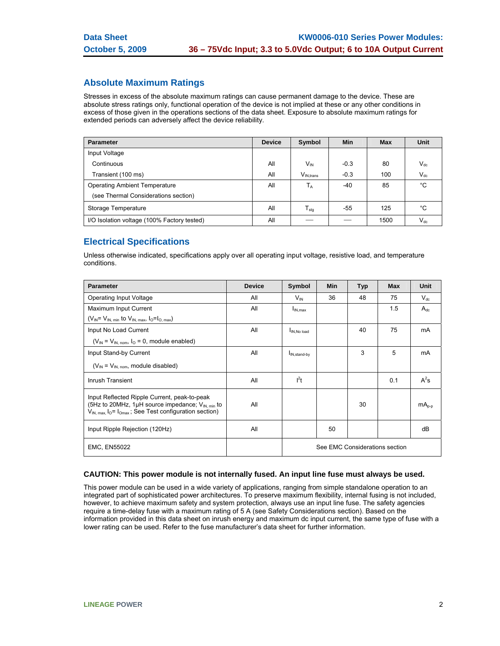# **Absolute Maximum Ratings**

Stresses in excess of the absolute maximum ratings can cause permanent damage to the device. These are absolute stress ratings only, functional operation of the device is not implied at these or any other conditions in excess of those given in the operations sections of the data sheet. Exposure to absolute maximum ratings for extended periods can adversely affect the device reliability.

| <b>Parameter</b>                            | <b>Device</b> | Symbol           | Min    | <b>Max</b> | Unit     |
|---------------------------------------------|---------------|------------------|--------|------------|----------|
| Input Voltage                               |               |                  |        |            |          |
| Continuous                                  | All           | $V_{\text{IN}}$  | $-0.3$ | 80         | $V_{dc}$ |
| Transient (100 ms)                          | All           | $V_{IN. trans}$  | $-0.3$ | 100        | $V_{dc}$ |
| <b>Operating Ambient Temperature</b>        | All           | $T_A$            | -40    | 85         | °C       |
| (see Thermal Considerations section)        |               |                  |        |            |          |
| Storage Temperature                         | All           | $T_{\text{stg}}$ | -55    | 125        | °C       |
| I/O Isolation voltage (100% Factory tested) | All           |                  |        | 1500       | $V_{dc}$ |

# **Electrical Specifications**

Unless otherwise indicated, specifications apply over all operating input voltage, resistive load, and temperature conditions.

| <b>Parameter</b>                                                                                                                                                       | <b>Device</b> | Symbol                         | <b>Min</b> | <b>Typ</b> | <b>Max</b> | Unit     |
|------------------------------------------------------------------------------------------------------------------------------------------------------------------------|---------------|--------------------------------|------------|------------|------------|----------|
| <b>Operating Input Voltage</b>                                                                                                                                         | All           | $V_{IN}$                       | 36         | 48         | 75         | $V_{dc}$ |
| Maximum Input Current                                                                                                                                                  | All           | I <sub>IN max</sub>            |            |            | 1.5        | $A_{dc}$ |
| $(V_{IN} = V_{IN, min}$ to $V_{IN, max}$ , $I_0 = I_{O, max}$ )                                                                                                        |               |                                |            |            |            |          |
| Input No Load Current                                                                                                                                                  | All           | IN.No load                     |            | 40         | 75         | mA       |
| $(V_{IN} = V_{IN \ nom}$ , $I_{O} = 0$ , module enabled)                                                                                                               |               |                                |            |            |            |          |
| Input Stand-by Current                                                                                                                                                 | All           | I <sub>IN,stand-by</sub>       |            | 3          | 5          | mA       |
| $(V_{IN} = V_{IN, nom}$ , module disabled)                                                                                                                             |               |                                |            |            |            |          |
| Inrush Transient                                                                                                                                                       | All           | $I^2$                          |            |            | 0.1        | $A^2s$   |
| Input Reflected Ripple Current, peak-to-peak<br>(5Hz to 20MHz, 1µH source impedance; $V_{IN,min}$ to<br>$V_{IN, max, 10} = I_{Omax}$ ; See Test configuration section) | All           |                                |            | 30         |            | $mA0-D$  |
| Input Ripple Rejection (120Hz)                                                                                                                                         | All           |                                | 50         |            |            | dB       |
| <b>EMC, EN55022</b>                                                                                                                                                    |               | See EMC Considerations section |            |            |            |          |

## **CAUTION: This power module is not internally fused. An input line fuse must always be used.**

This power module can be used in a wide variety of applications, ranging from simple standalone operation to an integrated part of sophisticated power architectures. To preserve maximum flexibility, internal fusing is not included, however, to achieve maximum safety and system protection, always use an input line fuse. The safety agencies require a time-delay fuse with a maximum rating of 5 A (see Safety Considerations section). Based on the information provided in this data sheet on inrush energy and maximum dc input current, the same type of fuse with a lower rating can be used. Refer to the fuse manufacturer's data sheet for further information.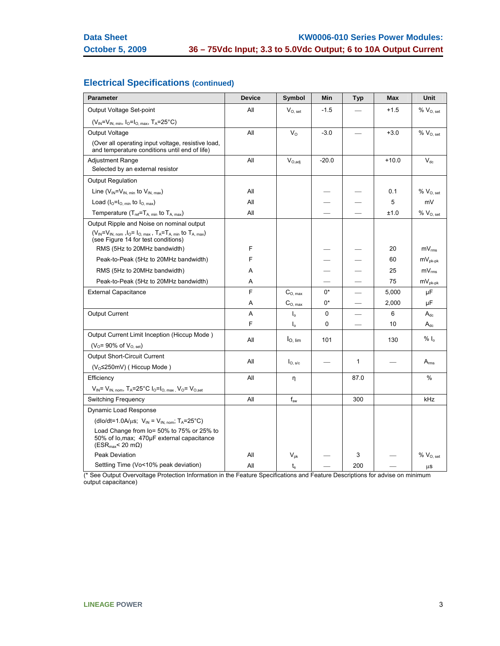# **Electrical Specifications (continued)**

| <b>Parameter</b>                                                                                                           | <b>Device</b> | Symbol                     | Min     | Typ          | <b>Max</b> | Unit              |
|----------------------------------------------------------------------------------------------------------------------------|---------------|----------------------------|---------|--------------|------------|-------------------|
| Output Voltage Set-point                                                                                                   | All           | $V_{O.}$ set               | $-1.5$  |              | $+1.5$     | $\%$ $V_{O, set}$ |
| $(V_{IN} = V_{IN. min}, I_{O} = I_{O. max}, T_A = 25^{\circ}C)$                                                            |               |                            |         |              |            |                   |
| Output Voltage                                                                                                             | All           | $V_{\Omega}$               | $-3.0$  |              | $+3.0$     | $\%$ $V_{O, set}$ |
| (Over all operating input voltage, resistive load,<br>and temperature conditions until end of life)                        |               |                            |         |              |            |                   |
| <b>Adjustment Range</b><br>Selected by an external resistor                                                                | All           | $V_{\rm O,adj}$            | $-20.0$ |              | $+10.0$    | $V_{dc}$          |
| <b>Output Regulation</b>                                                                                                   |               |                            |         |              |            |                   |
| Line ( $V_{IN} = V_{IN. min}$ to $V_{IN. max}$ )                                                                           | All           |                            |         |              | 0.1        | $% V_{O, set}$    |
| Load ( $I_0 = I_{O, min}$ to $I_{O, max}$ )                                                                                | All           |                            |         |              | 5          | mV                |
| Temperature $(T_{ref} = T_{A, min}$ to $T_{A, max}$ )                                                                      | All           |                            |         |              | ±1.0       | $\%$ $V_{O, set}$ |
| Output Ripple and Noise on nominal output                                                                                  |               |                            |         |              |            |                   |
| $(V_{IN} = V_{IN, nom}$ , $I_0 = I_{O, max}$ , $T_A = T_{A, min}$ to $T_{A, max}$ )<br>(see Figure 14 for test conditions) |               |                            |         |              |            |                   |
| RMS (5Hz to 20MHz bandwidth)                                                                                               | F             |                            |         |              | 20         | $mV_{rms}$        |
| Peak-to-Peak (5Hz to 20MHz bandwidth)                                                                                      | F             |                            |         |              | 60         | $mV_{pk-pk}$      |
| RMS (5Hz to 20MHz bandwidth)                                                                                               | A             |                            |         |              | 25         | $mV_{rms}$        |
| Peak-to-Peak (5Hz to 20MHz bandwidth)                                                                                      | Α             |                            |         |              | 75         | $mV_{pk-pk}$      |
| <b>External Capacitance</b>                                                                                                | F             | $C_{O, \, max}$            | $0^*$   |              | 5,000      | μF                |
|                                                                                                                            | Α             | $C_{O, max}$               | 0*      |              | 2,000      | μF                |
| <b>Output Current</b>                                                                                                      | A             | I <sub>o</sub>             | 0       |              | 6          | $A_{dc}$          |
|                                                                                                                            | F             | I <sub>o</sub>             | 0       |              | 10         | $A_{dc}$          |
| Output Current Limit Inception (Hiccup Mode)                                                                               | All           | $I_{\text{O, lim}}$        | 101     |              | 130        | $% I_{0}$         |
| ( $V_0$ = 90% of $V_{O, set}$ )                                                                                            |               |                            |         |              |            |                   |
| Output Short-Circuit Current                                                                                               | All           | $I_{O. s/c}$               |         | $\mathbf{1}$ |            | $A_{\rm rms}$     |
| (V <sub>o</sub> ≤250mV) (Hiccup Mode)                                                                                      |               |                            |         |              |            |                   |
| Efficiency                                                                                                                 | All           | η                          |         | 87.0         |            | $\%$              |
| $V_{IN}$ = $V_{IN, nom}$ , T <sub>A</sub> =25°C $I_0$ = $I_{O, max}$ , V <sub>O</sub> = V <sub>O,set</sub>                 |               |                            |         |              |            |                   |
| Switching Frequency                                                                                                        | All           | $f_{sw}$                   |         | 300          |            | kHz               |
| Dynamic Load Response                                                                                                      |               |                            |         |              |            |                   |
| $(dlo/dt = 1.0A/\mu s; V_{IN} = V_{IN, nom}; T_A = 25^{\circ}C)$                                                           |               |                            |         |              |            |                   |
| Load Change from lo= 50% to 75% or 25% to<br>50% of lo, max; 470µF external capacitance<br>$(ESRmax < 20 m\Omega)$         |               |                            |         |              |            |                   |
| <b>Peak Deviation</b>                                                                                                      | All           | $\mathsf{V}_{\mathsf{pk}}$ |         | 3            |            | $% V_{O, set}$    |
| Settling Time (Vo<10% peak deviation)                                                                                      | All           | $t_{\rm s}$                |         | 200          |            | μS                |

(\* See Output Overvoltage Protection Information in the Feature Specifications and Feature Descriptions for advise on minimum output capacitance)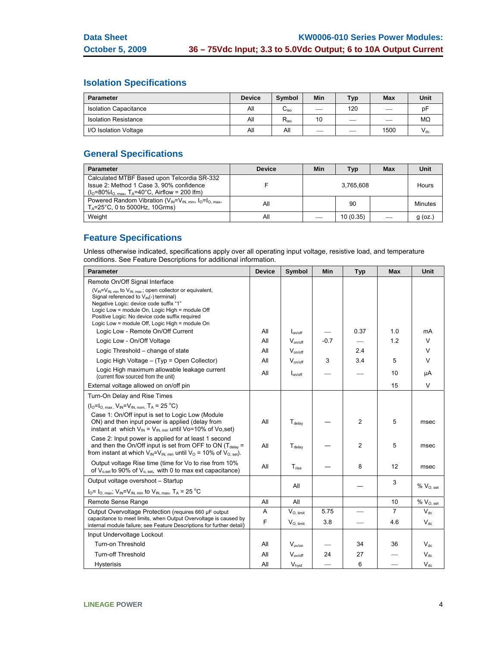# **Isolation Specifications**

| <b>Parameter</b>             | <b>Device</b> | <b>Symbol</b>    | Min                      | Typ                      | <b>Max</b> | Unit     |
|------------------------------|---------------|------------------|--------------------------|--------------------------|------------|----------|
| <b>Isolation Capacitance</b> | All           | C <sub>iso</sub> | $\overline{\phantom{a}}$ | 120                      |            | рF       |
| <b>Isolation Resistance</b>  | All           | $R_{\rm iso}$    | 10                       | $\overline{\phantom{a}}$ |            | MΩ       |
| I/O Isolation Voltage        | All           | All              |                          | __                       | 1500       | $V_{dc}$ |

# **General Specifications**

| <b>Parameter</b>                                                                                                                                      | Min<br><b>Device</b><br>Max<br>Typ |  | Unit      |         |         |
|-------------------------------------------------------------------------------------------------------------------------------------------------------|------------------------------------|--|-----------|---------|---------|
| Calculated MTBF Based upon Telcordia SR-332<br>Issue 2: Method 1 Case 3, 90% confidence<br>$(I_0=80\%I_{O. max}, T_A=40\degree C,$ Airflow = 200 lfm) |                                    |  | 3.765.608 |         | Hours   |
| Powered Random Vibration ( $V_{IN} = V_{IN,min}$ , $I_0 = I_{O,max}$ ,<br>$T_A = 25^{\circ}$ C, 0 to 5000Hz, 10Grms)                                  | ΑIΙ<br>90                          |  |           | Minutes |         |
| Weight                                                                                                                                                | All                                |  | 10(0.35)  |         | g (oz., |

# **Feature Specifications**

Unless otherwise indicated, specifications apply over all operating input voltage, resistive load, and temperature conditions. See Feature Descriptions for additional information.

| <b>Parameter</b>                                                                                                                                                                                                                                                            | <b>Device</b> | Symbol                    | Min    | <b>Typ</b>     | <b>Max</b> | <b>Unit</b>       |
|-----------------------------------------------------------------------------------------------------------------------------------------------------------------------------------------------------------------------------------------------------------------------------|---------------|---------------------------|--------|----------------|------------|-------------------|
| Remote On/Off Signal Interface                                                                                                                                                                                                                                              |               |                           |        |                |            |                   |
| $(V_{IN} = V_{IN, min}$ to $V_{IN, max}$ ; open collector or equivalent,<br>Signal referenced to $V_{\text{IN}}(-)$ terminal)<br>Negative Logic: device code suffix "1"<br>Logic Low = module On, Logic High = module Off<br>Positive Logic: No device code suffix required |               |                           |        |                |            |                   |
| Logic Low = module Off, Logic High = module On                                                                                                                                                                                                                              |               |                           |        |                |            |                   |
| Logic Low - Remote On/Off Current                                                                                                                                                                                                                                           | All           | $I_{on/off}$              |        | 0.37           | 1.0        | mA                |
| Logic Low - On/Off Voltage                                                                                                                                                                                                                                                  | All           | $V_{on/off}$              | $-0.7$ |                | 1.2        | $\vee$            |
| Logic Threshold – change of state                                                                                                                                                                                                                                           | All           | $V_{on/off}$              |        | 2.4            |            | V                 |
| Logic High Voltage - (Typ = Open Collector)                                                                                                                                                                                                                                 | All           | $V_{on/off}$              | 3      | 3.4            | 5          | V                 |
| Logic High maximum allowable leakage current<br>(current flow sourced from the unit)                                                                                                                                                                                        | All           | $I_{on/off}$              |        |                | 10         | μA                |
| External voltage allowed on on/off pin                                                                                                                                                                                                                                      |               |                           |        |                | 15         | V                 |
| Turn-On Delay and Rise Times                                                                                                                                                                                                                                                |               |                           |        |                |            |                   |
| $(I_0 = I_0$ max, $V_{IN} = V_{IN.}$ nom, $T_A = 25 °C$ )                                                                                                                                                                                                                   |               |                           |        |                |            |                   |
| Case 1: On/Off input is set to Logic Low (Module<br>ON) and then input power is applied (delay from<br>instant at which $V_{IN} = V_{IN. min}$ until Vo=10% of Vo,set)                                                                                                      | All           | $T_{\sf delay}$           |        | $\overline{c}$ | 5          | msec              |
| Case 2: Input power is applied for at least 1 second<br>and then the On/Off input is set from OFF to ON ( $T_{\text{delay}}$ =<br>from instant at which $V_{IN} = V_{IN. min}$ until $V_{O} = 10\%$ of $V_{O. set}$ ).                                                      | All           | $T_{delay}$               |        | $\overline{2}$ | 5          | msec              |
| Output voltage Rise time (time for Vo to rise from 10%<br>of V <sub>o,set</sub> to 90% of V <sub>o, set</sub> , with 0 to max ext capacitance)                                                                                                                              | All           | $T_{rise}$                |        | 8              | 12         | msec              |
| Output voltage overshoot - Startup                                                                                                                                                                                                                                          |               |                           |        |                | 3          |                   |
| $IO = IO. max; VIN = VIN. min$ to $VIN. max$ , $TA = 25oC$                                                                                                                                                                                                                  |               | All                       |        |                |            | $\%$ $V_{O, set}$ |
| Remote Sense Range                                                                                                                                                                                                                                                          | All           | All                       |        |                | 10         | $\%$ $V_{O, set}$ |
| Output Overvoltage Protection (requires 660 µF output                                                                                                                                                                                                                       | A             | $V_{O, limit}$            | 5.75   |                | 7          | $V_{dc}$          |
| capacitance to meet limits, when Output Overvoltage is caused by<br>internal module failure; see Feature Descriptions for further detail)                                                                                                                                   | F             | $V_{O.$ limit             | 3.8    |                | 4.6        | $V_{dc}$          |
| Input Undervoltage Lockout                                                                                                                                                                                                                                                  |               |                           |        |                |            |                   |
| Turn-on Threshold                                                                                                                                                                                                                                                           | All           | $V_{\text{uv}/\text{on}}$ |        | 34             | 36         | $V_{dc}$          |
| Turn-off Threshold                                                                                                                                                                                                                                                          | All           | $V_{uv/off}$              | 24     | 27             |            | $V_{dc}$          |
| Hysterisis                                                                                                                                                                                                                                                                  | All           | V <sub>hyst</sub>         |        | 6              |            | $V_{dc}$          |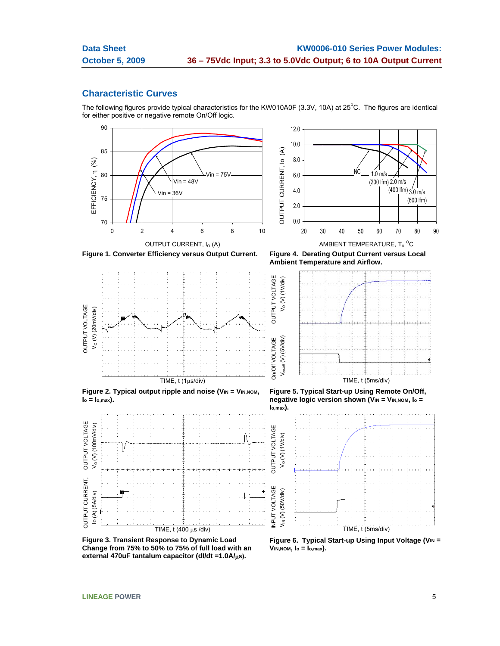## **Characteristic Curves**

The following figures provide typical characteristics for the KW010A0F (3.3V, 10A) at 25°C. The figures are identical for either positive or negative remote On/Off logic.

 $V_{\text{on/off}}\left( V\right)$  (5V/div)  $V_{\text{O}}\left( V\right)$  (1V/div)

 $V_{on\vee off}$  (V) (5V/div)

 $V_0$  (V) (1V/div)





AMBIENT TEMPERATURE, T $_{\mathrm{A}}$   $^{\mathrm{O}}$ C





**Figure 2. Typical output ripple and noise (VIN = VIN,NOM, Io = Io,max).** 



**Figure 3. Transient Response to Dynamic Load Change from 75% to 50% to 75% of full load with an external 470uF tantalum capacitor (dI/dt =1.0A/**μ**s).** 

**Ambient Temperature and Airflow.** 



**Figure 5. Typical Start-up Using Remote On/Off, negative logic version shown (VIN = VIN, NOM, lo = Io,max).** 



Figure 6. Typical Start-up Using Input Voltage (V<sub>IN</sub> = **VIN,NOM, Io = Io,max).**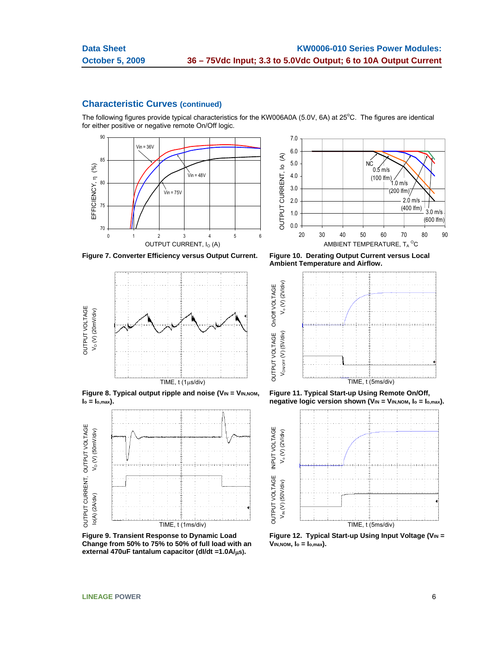# **Characteristic Curves (continued)**

The following figures provide typical characteristics for the KW006A0A (5.0V, 6A) at 25°C. The figures are identical for either positive or negative remote On/Off logic.

OUTPUT VOLTAGE On/Off VOLTAGE



**Figure 7. Converter Efficiency versus Output Current. Figure 10. Derating Output Current versus Local** 



**Figure 8. Typical output ripple and noise (VIN = VIN,NOM,**  $I_o = I_{o,max}$ ).



**Figure 9. Transient Response to Dynamic Load Change from 50% to 75% to 50% of full load with an external 470uF tantalum capacitor (dI/dt =1.0A/**μ**s).** 



**Ambient Temperature and Airflow.** 



**Figure 11. Typical Start-up Using Remote On/Off, negative logic version shown (VIN = VIN, NOM, lo = lo, max).** 



Figure 12. Typical Start-up Using Input Voltage (V<sub>IN</sub> = **VIN,NOM, Io = Io,max).**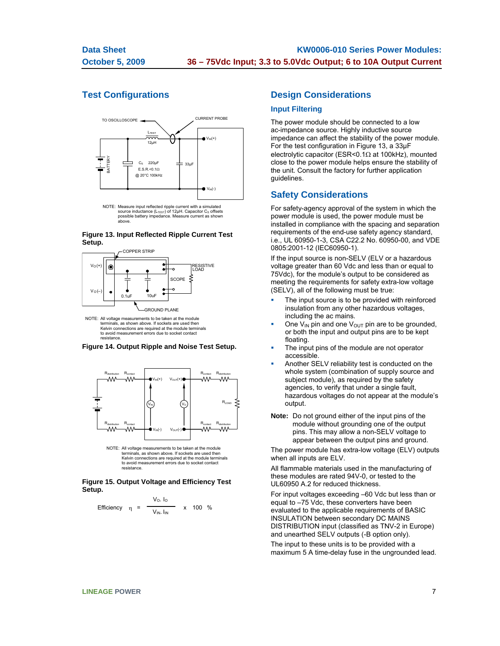# **Test Configurations**



NOTE: Measure input reflected ripple current with a simulated source inductance  $(L_{\text{TEST}})$  of 12µH. Capacitor  $C_S$  offsets possible battery impedance. Measure current as shown above.

#### **Figure 13. Input Reflected Ripple Current Test Setup.**



NOTE: All voltage measurements to be taken at the module terminals, as shown above. If sockets are used then Kelvin connections are required at the module terminals to avoid measurement errors due to socket contact resistance.

#### **Figure 14. Output Ripple and Noise Test Setup.**



terminals, as shown above. If sockets are used then Kelvin connections are required at the module terminals to avoid measurement errors due to socket contact resistance.

#### **Figure 15. Output Voltage and Efficiency Test Setup.**

Efficiency 
$$
\eta = \frac{V_0 I_0}{V_{IN} I_{IN}}
$$
 x 100 %

### **Design Considerations**

### **Input Filtering**

The power module should be connected to a low ac-impedance source. Highly inductive source impedance can affect the stability of the power module. For the test configuration in Figure 13, a 33μF electrolytic capacitor (ESR<0.1 $\Omega$  at 100kHz), mounted close to the power module helps ensure the stability of the unit. Consult the factory for further application guidelines.

### **Safety Considerations**

For safety-agency approval of the system in which the power module is used, the power module must be installed in compliance with the spacing and separation requirements of the end-use safety agency standard, i.e., UL 60950-1-3, CSA C22.2 No. 60950-00, and VDE 0805:2001-12 (IEC60950-1).

If the input source is non-SELV (ELV or a hazardous voltage greater than 60 Vdc and less than or equal to 75Vdc), for the module's output to be considered as meeting the requirements for safety extra-low voltage (SELV), all of the following must be true:

- The input source is to be provided with reinforced insulation from any other hazardous voltages, including the ac mains.
- One  $V_{IN}$  pin and one  $V_{OUT}$  pin are to be grounded, or both the input and output pins are to be kept floating.
- The input pins of the module are not operator accessible.
- Another SELV reliability test is conducted on the whole system (combination of supply source and subject module), as required by the safety agencies, to verify that under a single fault, hazardous voltages do not appear at the module's output.
- **Note:** Do not ground either of the input pins of the module without grounding one of the output pins. This may allow a non-SELV voltage to appear between the output pins and ground.

The power module has extra-low voltage (ELV) outputs when all inputs are ELV.

All flammable materials used in the manufacturing of these modules are rated 94V-0, or tested to the UL60950 A.2 for reduced thickness.

For input voltages exceeding –60 Vdc but less than or equal to –75 Vdc, these converters have been evaluated to the applicable requirements of BASIC INSULATION between secondary DC MAINS DISTRIBUTION input (classified as TNV-2 in Europe) and unearthed SELV outputs (-B option only).

The input to these units is to be provided with a maximum 5 A time-delay fuse in the ungrounded lead.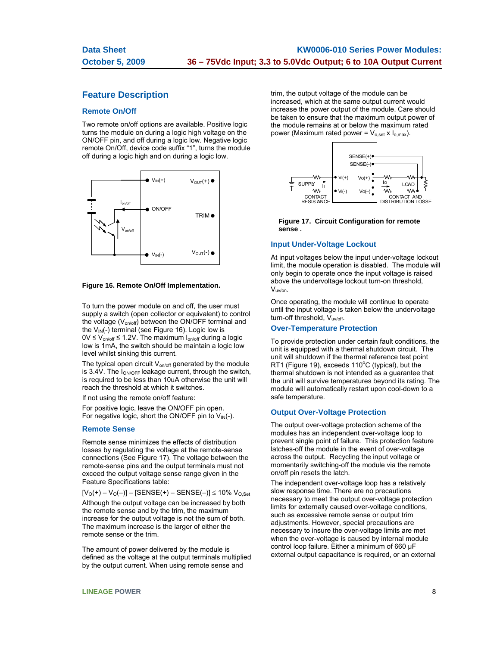## **Feature Description**

### **Remote On/Off**

Two remote on/off options are available. Positive logic turns the module on during a logic high voltage on the ON/OFF pin, and off during a logic low. Negative logic remote On/Off, device code suffix "1", turns the module off during a logic high and on during a logic low.



#### **Figure 16. Remote On/Off Implementation.**

To turn the power module on and off, the user must supply a switch (open collector or equivalent) to control the voltage  $(V_{on/off})$  between the ON/OFF terminal and the  $V_{IN}(-)$  terminal (see Figure 16). Logic low is  $0V \le V_{\text{on/off}} \le 1.2V$ . The maximum  $I_{\text{on/off}}$  during a logic low is 1mA, the switch should be maintain a logic low level whilst sinking this current.

The typical open circuit  $V_{on/off}$  generated by the module is 3.4V. The  $I_{ONOFF}$  leakage current, through the switch, is required to be less than 10uA otherwise the unit will reach the threshold at which it switches.

If not using the remote on/off feature:

For positive logic, leave the ON/OFF pin open. For negative logic, short the ON/OFF pin to  $V_{IN}(-)$ .

### **Remote Sense**

Remote sense minimizes the effects of distribution losses by regulating the voltage at the remote-sense connections (See Figure 17). The voltage between the remote-sense pins and the output terminals must not exceed the output voltage sense range given in the Feature Specifications table:

 $[V_O(+) - V_O(-)] - [SENSE(+) - SENSE(-)] \le 10\% V_{O,Set}$ Although the output voltage can be increased by both the remote sense and by the trim, the maximum increase for the output voltage is not the sum of both. The maximum increase is the larger of either the remote sense or the trim.

The amount of power delivered by the module is defined as the voltage at the output terminals multiplied by the output current. When using remote sense and

trim, the output voltage of the module can be increased, which at the same output current would increase the power output of the module. Care should be taken to ensure that the maximum output power of the module remains at or below the maximum rated power (Maximum rated power =  $V_{o,set}$  x  $I_{o,max}$ ).



**Figure 17. Circuit Configuration for remote sense .**

#### **Input Under-Voltage Lockout**

At input voltages below the input under-voltage lockout limit, the module operation is disabled. The module will only begin to operate once the input voltage is raised above the undervoltage lockout turn-on threshold,  $V_{\text{uv}/\text{on}}$ .

Once operating, the module will continue to operate until the input voltage is taken below the undervoltage turn-off threshold, Vuv/off.

### **Over-Temperature Protection**

To provide protection under certain fault conditions, the unit is equipped with a thermal shutdown circuit. The unit will shutdown if the thermal reference test point RT1 (Figure 19), exceeds  $110^{\circ}$ C (typical), but the thermal shutdown is not intended as a guarantee that the unit will survive temperatures beyond its rating. The module will automatically restart upon cool-down to a safe temperature.

### **Output Over-Voltage Protection**

The output over-voltage protection scheme of the modules has an independent over-voltage loop to prevent single point of failure. This protection feature latches-off the module in the event of over-voltage across the output. Recycling the input voltage or momentarily switching-off the module via the remote on/off pin resets the latch.

The independent over-voltage loop has a relatively slow response time. There are no precautions necessary to meet the output over-voltage protection limits for externally caused over-voltage conditions, such as excessive remote sense or output trim adjustments. However, special precautions are necessary to insure the over-voltage limits are met when the over-voltage is caused by internal module control loop failure. Either a minimum of 660 µF external output capacitance is required, or an external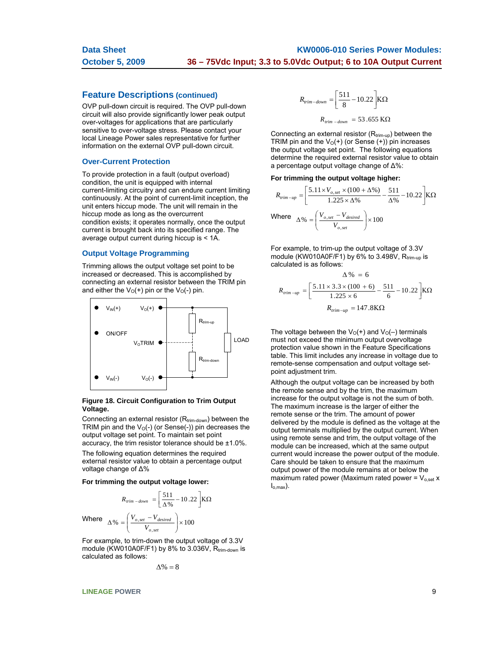### **Feature Descriptions (continued)**

OVP pull-down circuit is required. The OVP pull-down circuit will also provide significantly lower peak output over-voltages for applications that are particularly sensitive to over-voltage stress. Please contact your local Lineage Power sales representative for further information on the external OVP pull-down circuit.

### **Over-Current Protection**

To provide protection in a fault (output overload) condition, the unit is equipped with internal current-limiting circuitry and can endure current limiting continuously. At the point of current-limit inception, the unit enters hiccup mode. The unit will remain in the hiccup mode as long as the overcurrent condition exists; it operates normally, once the output current is brought back into its specified range. The average output current during hiccup is < 1A.

#### **Output Voltage Programming**

Trimming allows the output voltage set point to be increased or decreased. This is accomplished by connecting an external resistor between the TRIM pin and either the  $V_O(+)$  pin or the  $V_O(-)$  pin.



#### **Figure 18. Circuit Configuration to Trim Output Voltage.**

Connecting an external resistor  $(R_{trim-down})$  between the TRIM pin and the  $V_0$ (-) (or Sense(-)) pin decreases the output voltage set point. To maintain set point accuracy, the trim resistor tolerance should be ±1.0%.

The following equation determines the required external resistor value to obtain a percentage output voltage change of Δ%

#### **For trimming the output voltage lower:**

$$
R_{trim - down} = \left[\frac{511}{\Delta\%} - 10.22\right] K\Omega
$$
  
Where 
$$
\Delta\% = \left(\frac{V_{o, set} - V_{desired}}{V_{o, set}}\right) \times 100
$$

For example, to trim-down the output voltage of 3.3V module (KW010A0F/F1) by 8% to 3.036V, Rtrim-down is calculated as follows:

$$
\Delta\% = 8
$$

⎠

$$
R_{trim-down} = \left[\frac{511}{8} - 10.22\right] \text{K}\Omega
$$

$$
R_{trim-down} = 53.655 \text{ K}\Omega
$$

 $\Gamma$  =  $\sim$   $\sim$ 

Connecting an external resistor  $(R_{trim-up})$  between the TRIM pin and the  $V_0(+)$  (or Sense  $(+)$ ) pin increases the output voltage set point. The following equations determine the required external resistor value to obtain a percentage output voltage change of Δ%:

#### **For trimming the output voltage higher:**

$$
R_{trim-up} = \left[ \frac{5.11 \times V_{o,set} \times (100 + \Delta\%)}{1.225 \times \Delta\%} - \frac{511}{\Delta\%} - 10.22 \right] \text{K}\Omega
$$
  
Where 
$$
\Delta\% = \left( \frac{V_{o,set} - V_{desired}}{V_{o,set}} \right) \times 100
$$

For example, to trim-up the output voltage of 3.3V module (KW010A0F/F1) by 6% to 3.498V,  $R_{trim-up}$  is calculated is as follows:  $\overline{a}$  = 6.6

$$
R_{trim-up} = \left[\frac{5.11 \times 3.3 \times (100 + 6)}{1.225 \times 6} - \frac{511}{6} - 10.22\right] K\Omega
$$
  

$$
R_{trim-up} = 147.8 K\Omega
$$

The voltage between the  $V_0(+)$  and  $V_0(-)$  terminals must not exceed the minimum output overvoltage protection value shown in the Feature Specifications table. This limit includes any increase in voltage due to remote-sense compensation and output voltage setpoint adjustment trim.

Although the output voltage can be increased by both the remote sense and by the trim, the maximum increase for the output voltage is not the sum of both. The maximum increase is the larger of either the remote sense or the trim. The amount of power delivered by the module is defined as the voltage at the output terminals multiplied by the output current. When using remote sense and trim, the output voltage of the module can be increased, which at the same output current would increase the power output of the module. Care should be taken to ensure that the maximum output power of the module remains at or below the maximum rated power (Maximum rated power =  $V_{\text{o.set}}$  x  $I_{0,max}$ ).

**LINEAGE POWER** 9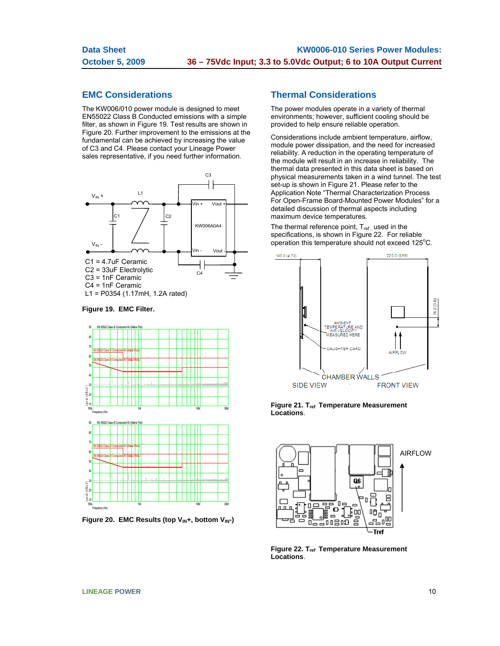# **EMC Considerations**

The KW006/010 power module is designed to meet EN55022 Class B Conducted emissions with a simple filter, as shown in Figure 19. Test results are shown in Figure 20. Further improvement to the emissions at the fundamental can be achieved by increasing the value of C3 and C4. Please contact your Lineage Power sales representative, if you need further information.







Figure 20. EMC Results (top V<sub>IN</sub>+, bottom V<sub>IN</sub>-)

## **Thermal Considerations**

The power modules operate in a variety of thermal environments; however, sufficient cooling should be provided to help ensure reliable operation.

Considerations include ambient temperature, airflow, module power dissipation, and the need for increased reliability. A reduction in the operating temperature of the module will result in an increase in reliability. The thermal data presented in this data sheet is based on physical measurements taken in a wind tunnel. The test set-up is shown in Figure 21. Please refer to the Application Note "Thermal Characterization Process For Open-Frame Board-Mounted Power Modules" for a detailed discussion of thermal aspects including maximum device temperatures.

The thermal reference point,  $T_{ref}$ , used in the specifications, is shown in Figure 22. For reliable operation this temperature should not exceed 125°C.



**Figure 21. Tref Temperature Measurement Locations**.



**Figure 22. Tref Temperature Measurement Locations**.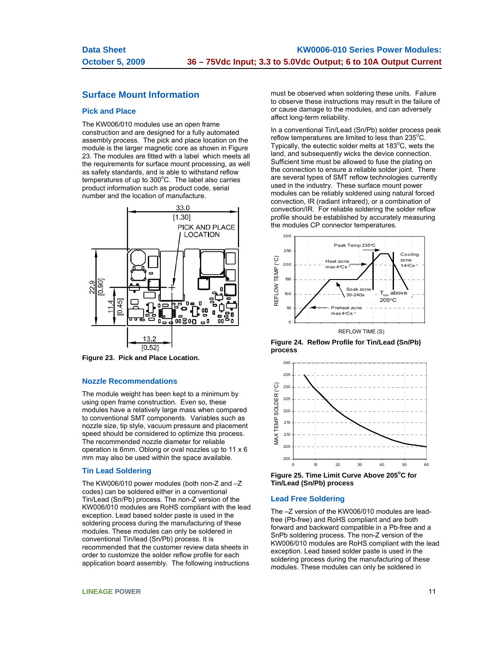## **Surface Mount Information**

### **Pick and Place**

The KW006/010 modules use an open frame construction and are designed for a fully automated assembly process. The pick and place location on the module is the larger magnetic core as shown in Figure 23. The modules are fitted with a label which meets all the requirements for surface mount processing, as well as safety standards, and is able to withstand reflow temperatures of up to  $300^{\circ}$ C. The label also carries product information such as product code, serial number and the location of manufacture.



**Figure 23. Pick and Place Location.** 

### **Nozzle Recommendations**

The module weight has been kept to a minimum by using open frame construction. Even so, these modules have a relatively large mass when compared to conventional SMT components. Variables such as nozzle size, tip style, vacuum pressure and placement speed should be considered to optimize this process. The recommended nozzle diameter for reliable operation is 6mm. Oblong or oval nozzles up to 11 x 6 mm may also be used within the space available.

### **Tin Lead Soldering**

The KW006/010 power modules (both non-Z and –Z codes) can be soldered either in a conventional Tin/Lead (Sn/Pb) process. The non-Z version of the KW006/010 modules are RoHS compliant with the lead exception. Lead based solder paste is used in the soldering process during the manufacturing of these modules. These modules can only be soldered in conventional Tin/lead (Sn/Pb) process. It is recommended that the customer review data sheets in order to customize the solder reflow profile for each application board assembly. The following instructions

**LINEAGE POWER** 11

must be observed when soldering these units. Failure to observe these instructions may result in the failure of or cause damage to the modules, and can adversely affect long-term reliability.

In a conventional Tin/Lead (Sn/Pb) solder process peak reflow temperatures are limited to less than 235 $^{\circ}$ C. Typically, the eutectic solder melts at  $183^{\circ}$ C, wets the land, and subsequently wicks the device connection. Sufficient time must be allowed to fuse the plating on the connection to ensure a reliable solder joint. There are several types of SMT reflow technologies currently used in the industry. These surface mount power modules can be reliably soldered using natural forced convection, IR (radiant infrared), or a combination of convection/IR. For reliable soldering the solder reflow profile should be established by accurately measuring the modules CP connector temperatures.



**Figure 24. Reflow Profile for Tin/Lead (Sn/Pb) process** 



Figure 25. Time Limit Curve Above 205°C for **Tin/Lead (Sn/Pb) process** 

#### **Lead Free Soldering**

The –Z version of the KW006/010 modules are leadfree (Pb-free) and RoHS compliant and are both forward and backward compatible in a Pb-free and a SnPb soldering process. The non-Z version of the KW006/010 modules are RoHS compliant with the lead exception. Lead based solder paste is used in the soldering process during the manufacturing of these modules. These modules can only be soldered in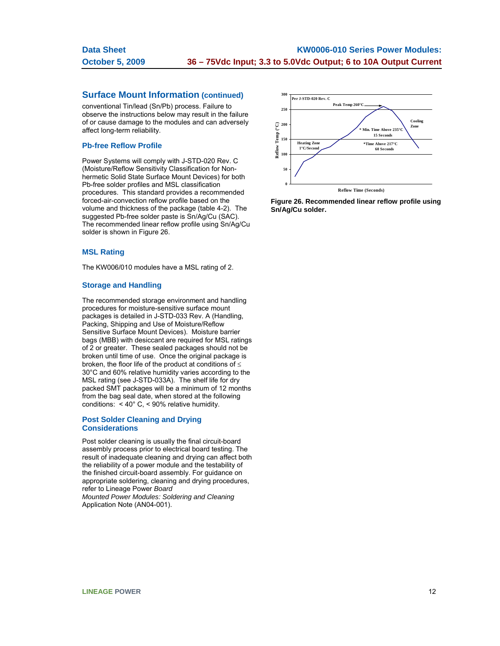### **Surface Mount Information (continued)**

conventional Tin/lead (Sn/Pb) process. Failure to observe the instructions below may result in the failure of or cause damage to the modules and can adversely affect long-term reliability.

### **Pb-free Reflow Profile**

Power Systems will comply with J-STD-020 Rev. C (Moisture/Reflow Sensitivity Classification for Nonhermetic Solid State Surface Mount Devices) for both Pb-free solder profiles and MSL classification procedures. This standard provides a recommended forced-air-convection reflow profile based on the volume and thickness of the package (table 4-2). The suggested Pb-free solder paste is Sn/Ag/Cu (SAC). The recommended linear reflow profile using Sn/Ag/Cu solder is shown in Figure 26.

### **MSL Rating**

The KW006/010 modules have a MSL rating of 2.

### **Storage and Handling**

The recommended storage environment and handling procedures for moisture-sensitive surface mount packages is detailed in J-STD-033 Rev. A (Handling, Packing, Shipping and Use of Moisture/Reflow Sensitive Surface Mount Devices). Moisture barrier bags (MBB) with desiccant are required for MSL ratings of 2 or greater. These sealed packages should not be broken until time of use. Once the original package is broken, the floor life of the product at conditions of  $\leq$ 30°C and 60% relative humidity varies according to the MSL rating (see J-STD-033A). The shelf life for dry packed SMT packages will be a minimum of 12 months from the bag seal date, when stored at the following conditions: < 40° C, < 90% relative humidity.

### **Post Solder Cleaning and Drying Considerations**

Post solder cleaning is usually the final circuit-board assembly process prior to electrical board testing. The result of inadequate cleaning and drying can affect both the reliability of a power module and the testability of the finished circuit-board assembly. For guidance on appropriate soldering, cleaning and drying procedures, refer to Lineage Power *Board Mounted Power Modules: Soldering and Cleaning* Application Note (AN04-001).



**Figure 26. Recommended linear reflow profile using Sn/Ag/Cu solder.**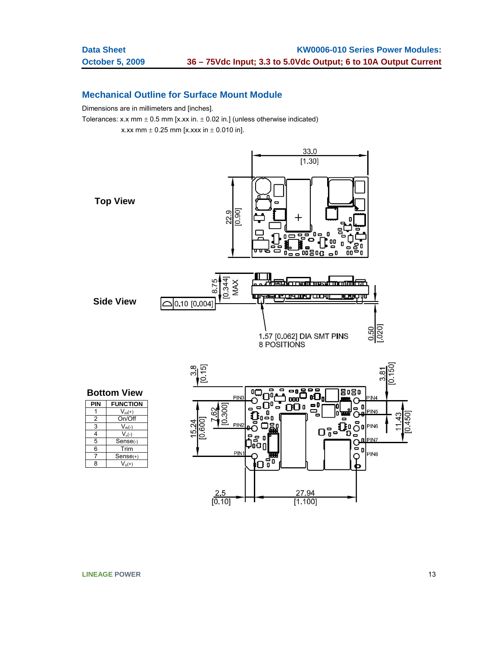# **Mechanical Outline for Surface Mount Module**

Dimensions are in millimeters and [inches].

Tolerances: x.x mm  $\pm$  0.5 mm [x.xx in.  $\pm$  0.02 in.] (unless otherwise indicated) x.xx mm  $\pm$  0.25 mm [x.xxx in  $\pm$  0.010 in].



**LINEAGE POWER** 13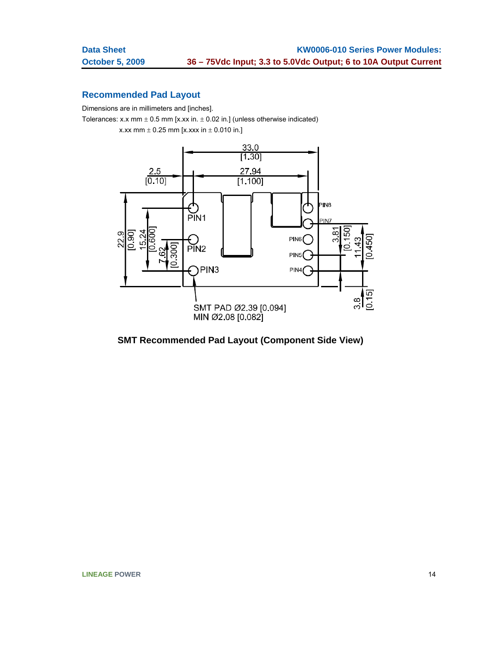# **Recommended Pad Layout**

Dimensions are in millimeters and [inches].

Tolerances: x.x mm  $\pm$  0.5 mm [x.xx in.  $\pm$  0.02 in.] (unless otherwise indicated)

x.xx mm  $\pm$  0.25 mm [x.xxx in  $\pm$  0.010 in.]



**SMT Recommended Pad Layout (Component Side View)**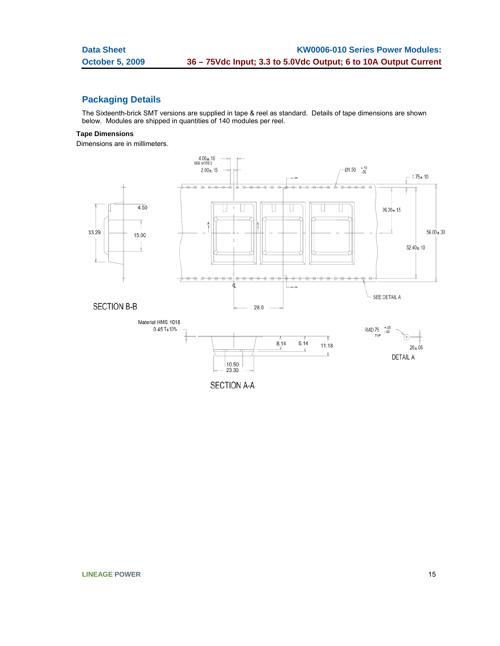# **Packaging Details**

The Sixteenth-brick SMT versions are supplied in tape & reel as standard. Details of tape dimensions are shown below. Modules are shipped in quantities of 140 modules per reel.

### **Tape Dimensions**

Dimensions are in millimeters.